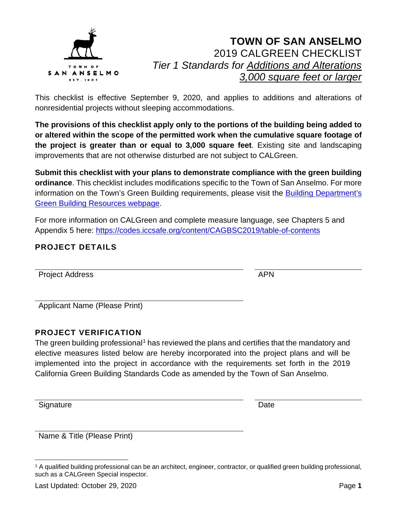

This checklist is effective September 9, 2020, and applies to additions and alterations of nonresidential projects without sleeping accommodations.

**The provisions of this checklist apply only to the portions of the building being added to or altered within the scope of the permitted work when the cumulative square footage of the project is greater than or equal to 3,000 square feet**. Existing site and landscaping improvements that are not otherwise disturbed are not subject to CALGreen.

**Submit this checklist with your plans to demonstrate compliance with the green building ordinance**. This checklist includes modifications specific to the Town of San Anselmo. For more information on the Town's Green Building requirements, please visit the [Building Department's](https://www.townofsananselmo.org/1228/Green-Building-Resources)  [Green Building Resources webpage.](https://www.townofsananselmo.org/1228/Green-Building-Resources)

For more information on CALGreen and complete measure language, see Chapters 5 and Appendix 5 here:<https://codes.iccsafe.org/content/CAGBSC2019/table-of-contents>

#### **PROJECT DETAILS**

Project Address APN

Applicant Name (Please Print)

#### **PROJECT VERIFICATION**

The green building professional<sup>[1](#page-0-0)</sup> has reviewed the plans and certifies that the mandatory and elective measures listed below are hereby incorporated into the project plans and will be implemented into the project in accordance with the requirements set forth in the 2019 California Green Building Standards Code as amended by the Town of San Anselmo.

Signature Date **Date** 

Name & Title (Please Print)

<span id="page-0-0"></span><sup>1</sup> A qualified building professional can be an architect, engineer, contractor, or qualified green building professional, such as a CALGreen Special inspector.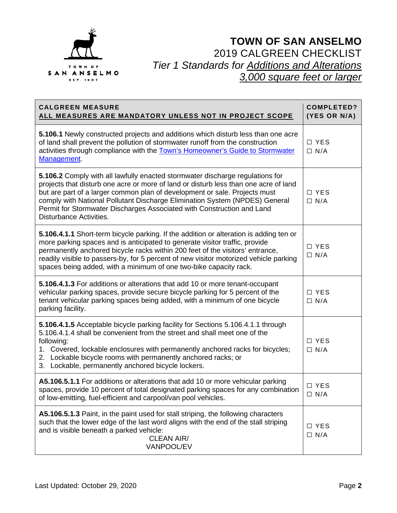

| <b>CALGREEN MEASURE</b><br><u>ALL MEASURES ARE MANDATORY UNLESS NOT IN PROJECT SCOPE</u>                                                                                                                                                                                                                                                                                                                                                       | <b>COMPLETED?</b><br>(YES OR N/A) |
|------------------------------------------------------------------------------------------------------------------------------------------------------------------------------------------------------------------------------------------------------------------------------------------------------------------------------------------------------------------------------------------------------------------------------------------------|-----------------------------------|
| 5.106.1 Newly constructed projects and additions which disturb less than one acre<br>of land shall prevent the pollution of stormwater runoff from the construction<br>activities through compliance with the Town's Homeowner's Guide to Stormwater<br>Management.                                                                                                                                                                            | □ YES<br>$\Box$ N/A               |
| 5.106.2 Comply with all lawfully enacted stormwater discharge regulations for<br>projects that disturb one acre or more of land or disturb less than one acre of land<br>but are part of a larger common plan of development or sale. Projects must<br>comply with National Pollutant Discharge Elimination System (NPDES) General<br>Permit for Stormwater Discharges Associated with Construction and Land<br><b>Disturbance Activities.</b> | $\Box$ YES<br>$\Box$ N/A          |
| 5.106.4.1.1 Short-term bicycle parking. If the addition or alteration is adding ten or<br>more parking spaces and is anticipated to generate visitor traffic, provide<br>permanently anchored bicycle racks within 200 feet of the visitors' entrance,<br>readily visible to passers-by, for 5 percent of new visitor motorized vehicle parking<br>spaces being added, with a minimum of one two-bike capacity rack.                           | □ YES<br>$\Box$ N/A               |
| 5.106.4.1.3 For additions or alterations that add 10 or more tenant-occupant<br>vehicular parking spaces, provide secure bicycle parking for 5 percent of the<br>tenant vehicular parking spaces being added, with a minimum of one bicycle<br>parking facility.                                                                                                                                                                               | □ YES<br>$\Box$ N/A               |
| 5.106.4.1.5 Acceptable bicycle parking facility for Sections 5.106.4.1.1 through<br>5.106.4.1.4 shall be convenient from the street and shall meet one of the<br>following:<br>1. Covered, lockable enclosures with permanently anchored racks for bicycles;<br>2. Lockable bicycle rooms with permanently anchored racks; or<br>3. Lockable, permanently anchored bicycle lockers.                                                            | □ YES<br>$\Box$ N/A               |
| A5.106.5.1.1 For additions or alterations that add 10 or more vehicular parking<br>spaces, provide 10 percent of total designated parking spaces for any combination<br>of low-emitting, fuel-efficient and carpool/van pool vehicles.                                                                                                                                                                                                         | □ YES<br>$\Box$ N/A               |
| A5.106.5.1.3 Paint, in the paint used for stall striping, the following characters<br>such that the lower edge of the last word aligns with the end of the stall striping<br>and is visible beneath a parked vehicle:<br><b>CLEAN AIR/</b><br>VANPOOL/EV                                                                                                                                                                                       | $\Box$ YES<br>$\Box$ N/A          |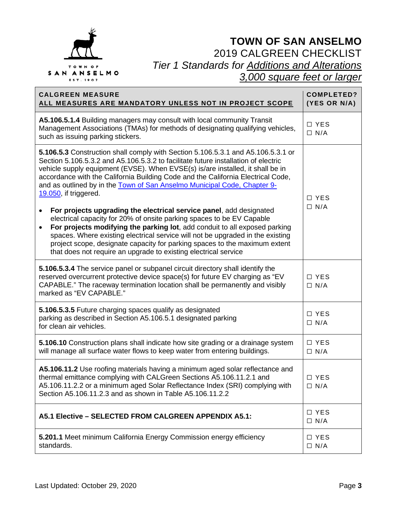

| <b>CALGREEN MEASURE</b><br>ALL MEASURES ARE MANDATORY UNLESS NOT IN PROJECT SCOPE                                                                                                                                                                                                                                                                                                                                                                                                                                                                                                                                                                                                                                                                                                                                                                                                                                                    | <b>COMPLETED?</b><br>(YES OR N/A) |
|--------------------------------------------------------------------------------------------------------------------------------------------------------------------------------------------------------------------------------------------------------------------------------------------------------------------------------------------------------------------------------------------------------------------------------------------------------------------------------------------------------------------------------------------------------------------------------------------------------------------------------------------------------------------------------------------------------------------------------------------------------------------------------------------------------------------------------------------------------------------------------------------------------------------------------------|-----------------------------------|
| A5.106.5.1.4 Building managers may consult with local community Transit<br>Management Associations (TMAs) for methods of designating qualifying vehicles,<br>such as issuing parking stickers.                                                                                                                                                                                                                                                                                                                                                                                                                                                                                                                                                                                                                                                                                                                                       | □ YES<br>$\Box$ N/A               |
| 5.106.5.3 Construction shall comply with Section 5.106.5.3.1 and A5.106.5.3.1 or<br>Section 5.106.5.3.2 and A5.106.5.3.2 to facilitate future installation of electric<br>vehicle supply equipment (EVSE). When EVSE(s) is/are installed, it shall be in<br>accordance with the California Building Code and the California Electrical Code,<br>and as outlined by in the Town of San Anselmo Municipal Code, Chapter 9-<br>19.050, if triggered.<br>For projects upgrading the electrical service panel, add designated<br>٠<br>electrical capacity for 20% of onsite parking spaces to be EV Capable<br>For projects modifying the parking lot, add conduit to all exposed parking<br>$\bullet$<br>spaces. Where existing electrical service will not be upgraded in the existing<br>project scope, designate capacity for parking spaces to the maximum extent<br>that does not require an upgrade to existing electrical service | □ YES<br>$\Box$ N/A               |
| 5.106.5.3.4 The service panel or subpanel circuit directory shall identify the<br>reserved overcurrent protective device space(s) for future EV charging as "EV<br>CAPABLE." The raceway termination location shall be permanently and visibly<br>marked as "EV CAPABLE."                                                                                                                                                                                                                                                                                                                                                                                                                                                                                                                                                                                                                                                            | □ YES<br>$\Box$ N/A               |
| 5.106.5.3.5 Future charging spaces qualify as designated<br>parking as described in Section A5.106.5.1 designated parking<br>for clean air vehicles.                                                                                                                                                                                                                                                                                                                                                                                                                                                                                                                                                                                                                                                                                                                                                                                 | $\Box$ YES<br>$\Box$ N/A          |
| 5.106.10 Construction plans shall indicate how site grading or a drainage system<br>will manage all surface water flows to keep water from entering buildings.                                                                                                                                                                                                                                                                                                                                                                                                                                                                                                                                                                                                                                                                                                                                                                       | $\Box$ YES<br>$\Box$ N/A          |
| A5.106.11.2 Use roofing materials having a minimum aged solar reflectance and<br>thermal emittance complying with CALGreen Sections A5.106.11.2.1 and<br>A5.106.11.2.2 or a minimum aged Solar Reflectance Index (SRI) complying with<br>Section A5.106.11.2.3 and as shown in Table A5.106.11.2.2                                                                                                                                                                                                                                                                                                                                                                                                                                                                                                                                                                                                                                   | $\Box$ YES<br>$\Box$ N/A          |
| A5.1 Elective - SELECTED FROM CALGREEN APPENDIX A5.1:                                                                                                                                                                                                                                                                                                                                                                                                                                                                                                                                                                                                                                                                                                                                                                                                                                                                                | □ YES<br>$\Box$ N/A               |
| 5.201.1 Meet minimum California Energy Commission energy efficiency<br>standards.                                                                                                                                                                                                                                                                                                                                                                                                                                                                                                                                                                                                                                                                                                                                                                                                                                                    | □ YES<br>$\Box$ N/A               |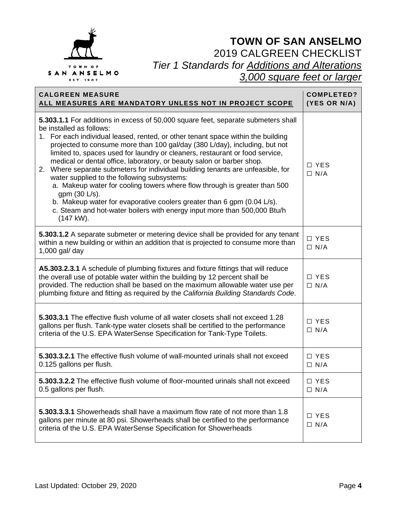

| <b>CALGREEN MEASURE</b><br>ALL MEASURES ARE MANDATORY UNLESS NOT IN PROJECT SCOPE                                                                                                                                                                                                                                                                                                                                                                                                                                                                                                                                                                                                                                                                                                                                                                    | <b>COMPLETED?</b><br>(YES OR N/A) |
|------------------------------------------------------------------------------------------------------------------------------------------------------------------------------------------------------------------------------------------------------------------------------------------------------------------------------------------------------------------------------------------------------------------------------------------------------------------------------------------------------------------------------------------------------------------------------------------------------------------------------------------------------------------------------------------------------------------------------------------------------------------------------------------------------------------------------------------------------|-----------------------------------|
| <b>5.303.1.1</b> For additions in excess of 50,000 square feet, separate submeters shall<br>be installed as follows:<br>1. For each individual leased, rented, or other tenant space within the building<br>projected to consume more than 100 gal/day (380 L/day), including, but not<br>limited to, spaces used for laundry or cleaners, restaurant or food service,<br>medical or dental office, laboratory, or beauty salon or barber shop.<br>2. Where separate submeters for individual building tenants are unfeasible, for<br>water supplied to the following subsystems:<br>a. Makeup water for cooling towers where flow through is greater than 500<br>gpm (30 L/s).<br>b. Makeup water for evaporative coolers greater than 6 gpm (0.04 L/s).<br>c. Steam and hot-water boilers with energy input more than 500,000 Btu/h<br>$(147$ kW). | $\Box$ YES<br>$\Box$ N/A          |
| 5.303.1.2 A separate submeter or metering device shall be provided for any tenant<br>within a new building or within an addition that is projected to consume more than<br>$1,000$ gal/ day                                                                                                                                                                                                                                                                                                                                                                                                                                                                                                                                                                                                                                                          | □ YES<br>$\Box$ N/A               |
| A5.303.2.3.1 A schedule of plumbing fixtures and fixture fittings that will reduce<br>the overall use of potable water within the building by 12 percent shall be<br>provided. The reduction shall be based on the maximum allowable water use per<br>plumbing fixture and fitting as required by the California Building Standards Code.                                                                                                                                                                                                                                                                                                                                                                                                                                                                                                            | $\Box$ YES<br>$\Box$ N/A          |
| 5.303.3.1 The effective flush volume of all water closets shall not exceed 1.28<br>gallons per flush. Tank-type water closets shall be certified to the performance<br>criteria of the U.S. EPA WaterSense Specification for Tank-Type Toilets.                                                                                                                                                                                                                                                                                                                                                                                                                                                                                                                                                                                                      | $\Box$ YES<br>$\Box$ N/A          |
| 5.303.3.2.1 The effective flush volume of wall-mounted urinals shall not exceed<br>0.125 gallons per flush.                                                                                                                                                                                                                                                                                                                                                                                                                                                                                                                                                                                                                                                                                                                                          | □ YES<br>$\Box$ N/A               |
| <b>5.303.3.2.2</b> The effective flush volume of floor-mounted urinals shall not exceed<br>0.5 gallons per flush.                                                                                                                                                                                                                                                                                                                                                                                                                                                                                                                                                                                                                                                                                                                                    | $\Box$ YES<br>$\Box$ N/A          |
| 5.303.3.3.1 Showerheads shall have a maximum flow rate of not more than 1.8<br>gallons per minute at 80 psi. Showerheads shall be certified to the performance<br>criteria of the U.S. EPA WaterSense Specification for Showerheads                                                                                                                                                                                                                                                                                                                                                                                                                                                                                                                                                                                                                  | $\Box$ YES<br>$\Box$ N/A          |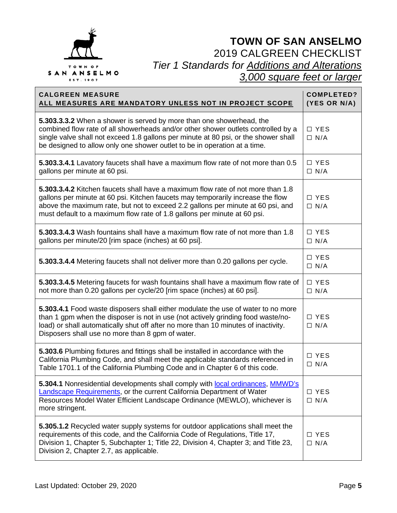

| <b>CALGREEN MEASURE</b><br>ALL MEASURES ARE MANDATORY UNLESS NOT IN PROJECT SCOPE                                                                                                                                                                                                                                                 | <b>COMPLETED?</b><br>(YES OR N/A) |
|-----------------------------------------------------------------------------------------------------------------------------------------------------------------------------------------------------------------------------------------------------------------------------------------------------------------------------------|-----------------------------------|
| 5.303.3.3.2 When a shower is served by more than one showerhead, the<br>combined flow rate of all showerheads and/or other shower outlets controlled by a<br>single valve shall not exceed 1.8 gallons per minute at 80 psi, or the shower shall<br>be designed to allow only one shower outlet to be in operation at a time.     | $\Box$ YES<br>$\Box$ N/A          |
| 5.303.3.4.1 Lavatory faucets shall have a maximum flow rate of not more than 0.5<br>gallons per minute at 60 psi.                                                                                                                                                                                                                 | □ YES<br>$\Box$ N/A               |
| 5.303.3.4.2 Kitchen faucets shall have a maximum flow rate of not more than 1.8<br>gallons per minute at 60 psi. Kitchen faucets may temporarily increase the flow<br>above the maximum rate, but not to exceed 2.2 gallons per minute at 60 psi, and<br>must default to a maximum flow rate of 1.8 gallons per minute at 60 psi. | $\Box$ YES<br>$\Box$ N/A          |
| 5.303.3.4.3 Wash fountains shall have a maximum flow rate of not more than 1.8<br>gallons per minute/20 [rim space (inches) at 60 psi].                                                                                                                                                                                           | □ YES<br>$\Box$ N/A               |
| 5.303.3.4.4 Metering faucets shall not deliver more than 0.20 gallons per cycle.                                                                                                                                                                                                                                                  | $\Box$ YES<br>$\Box$ N/A          |
| 5.303.3.4.5 Metering faucets for wash fountains shall have a maximum flow rate of<br>not more than 0.20 gallons per cycle/20 [rim space (inches) at 60 psi].                                                                                                                                                                      | □ YES<br>$\Box$ N/A               |
| 5.303.4.1 Food waste disposers shall either modulate the use of water to no more<br>than 1 gpm when the disposer is not in use (not actively grinding food waste/no-<br>load) or shall automatically shut off after no more than 10 minutes of inactivity.<br>Disposers shall use no more than 8 gpm of water.                    | □ YES<br>$\Box$ N/A               |
| 5.303.6 Plumbing fixtures and fittings shall be installed in accordance with the<br>California Plumbing Code, and shall meet the applicable standards referenced in<br>Table 1701.1 of the California Plumbing Code and in Chapter 6 of this code.                                                                                | □ YES<br>$\Box$ N/A               |
| 5.304.1 Nonresidential developments shall comply with local ordinances, MMWD's<br><b>Landscape Requirements, or the current California Department of Water</b><br>Resources Model Water Efficient Landscape Ordinance (MEWLO), whichever is<br>more stringent.                                                                    | □ YES<br>$\Box$ N/A               |
| 5.305.1.2 Recycled water supply systems for outdoor applications shall meet the<br>requirements of this code, and the California Code of Regulations, Title 17,<br>Division 1, Chapter 5, Subchapter 1; Title 22, Division 4, Chapter 3; and Title 23,<br>Division 2, Chapter 2.7, as applicable.                                 | $\Box$ YES<br>$\Box$ N/A          |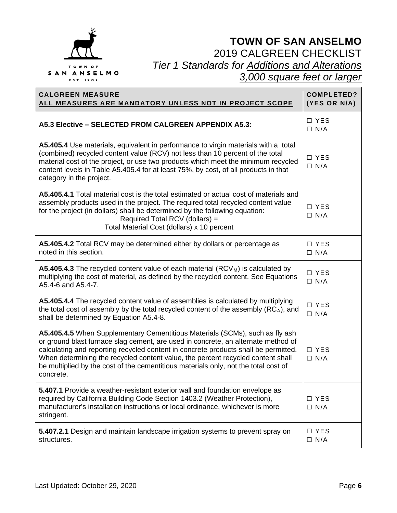

| <b>CALGREEN MEASURE</b><br>ALL MEASURES ARE MANDATORY UNLESS NOT IN PROJECT SCOPE                                                                                                                                                                                                                                                                                                                                                               | <b>COMPLETED?</b><br>(YES OR N/A) |
|-------------------------------------------------------------------------------------------------------------------------------------------------------------------------------------------------------------------------------------------------------------------------------------------------------------------------------------------------------------------------------------------------------------------------------------------------|-----------------------------------|
| A5.3 Elective - SELECTED FROM CALGREEN APPENDIX A5.3:                                                                                                                                                                                                                                                                                                                                                                                           | $\Box$ YES<br>$\Box$ N/A          |
| A5.405.4 Use materials, equivalent in performance to virgin materials with a total<br>(combined) recycled content value (RCV) not less than 10 percent of the total<br>material cost of the project, or use two products which meet the minimum recycled<br>content levels in Table A5.405.4 for at least 75%, by cost, of all products in that<br>category in the project.                                                                     | □ YES<br>$\Box$ N/A               |
| A5.405.4.1 Total material cost is the total estimated or actual cost of materials and<br>assembly products used in the project. The required total recycled content value<br>for the project (in dollars) shall be determined by the following equation:<br>Required Total RCV (dollars) =<br>Total Material Cost (dollars) x 10 percent                                                                                                        | □ YES<br>$\Box$ N/A               |
| A5.405.4.2 Total RCV may be determined either by dollars or percentage as<br>noted in this section.                                                                                                                                                                                                                                                                                                                                             | $\Box$ YES<br>$\Box$ N/A          |
| <b>A5.405.4.3</b> The recycled content value of each material $(RCV_M)$ is calculated by<br>multiplying the cost of material, as defined by the recycled content. See Equations<br>A5.4-6 and A5.4-7.                                                                                                                                                                                                                                           | □ YES<br>$\Box$ N/A               |
| A5.405.4.4 The recycled content value of assemblies is calculated by multiplying<br>the total cost of assembly by the total recycled content of the assembly (RCA), and<br>shall be determined by Equation A5.4-8.                                                                                                                                                                                                                              | □ YES<br>$\Box$ N/A               |
| A5.405.4.5 When Supplementary Cementitious Materials (SCMs), such as fly ash<br>or ground blast furnace slag cement, are used in concrete, an alternate method of<br>calculating and reporting recycled content in concrete products shall be permitted.<br>When determining the recycled content value, the percent recycled content shall<br>be multiplied by the cost of the cementitious materials only, not the total cost of<br>concrete. | □ YES<br>$\Box$ N/A               |
| 5.407.1 Provide a weather-resistant exterior wall and foundation envelope as<br>required by California Building Code Section 1403.2 (Weather Protection),<br>manufacturer's installation instructions or local ordinance, whichever is more<br>stringent.                                                                                                                                                                                       | □ YES<br>$\Box$ N/A               |
| 5.407.2.1 Design and maintain landscape irrigation systems to prevent spray on<br>structures.                                                                                                                                                                                                                                                                                                                                                   | $\Box$ YES<br>$\Box$ N/A          |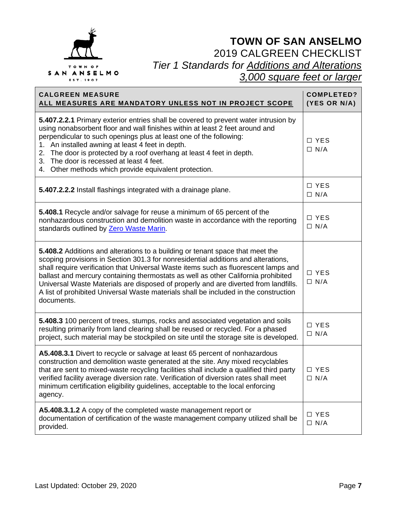

| <b>CALGREEN MEASURE</b><br>ALL MEASURES ARE MANDATORY UNLESS NOT IN PROJECT SCOPE                                                                                                                                                                                                                                                                                                                                                                                                                                                           | <b>COMPLETED?</b><br>(YES OR N/A) |
|---------------------------------------------------------------------------------------------------------------------------------------------------------------------------------------------------------------------------------------------------------------------------------------------------------------------------------------------------------------------------------------------------------------------------------------------------------------------------------------------------------------------------------------------|-----------------------------------|
| 5.407.2.2.1 Primary exterior entries shall be covered to prevent water intrusion by<br>using nonabsorbent floor and wall finishes within at least 2 feet around and<br>perpendicular to such openings plus at least one of the following:<br>1. An installed awning at least 4 feet in depth.<br>2. The door is protected by a roof overhang at least 4 feet in depth.<br>3. The door is recessed at least 4 feet.<br>4. Other methods which provide equivalent protection.                                                                 | □ YES<br>$\Box$ N/A               |
| 5.407.2.2.2 Install flashings integrated with a drainage plane.                                                                                                                                                                                                                                                                                                                                                                                                                                                                             | $\Box$ YES<br>$\Box$ N/A          |
| 5.408.1 Recycle and/or salvage for reuse a minimum of 65 percent of the<br>nonhazardous construction and demolition waste in accordance with the reporting<br>standards outlined by Zero Waste Marin.                                                                                                                                                                                                                                                                                                                                       | □ YES<br>$\Box$ N/A               |
| 5.408.2 Additions and alterations to a building or tenant space that meet the<br>scoping provisions in Section 301.3 for nonresidential additions and alterations,<br>shall require verification that Universal Waste items such as fluorescent lamps and<br>ballast and mercury containing thermostats as well as other California prohibited<br>Universal Waste Materials are disposed of properly and are diverted from landfills.<br>A list of prohibited Universal Waste materials shall be included in the construction<br>documents. | □ YES<br>$\Box$ N/A               |
| 5.408.3 100 percent of trees, stumps, rocks and associated vegetation and soils<br>resulting primarily from land clearing shall be reused or recycled. For a phased<br>project, such material may be stockpiled on site until the storage site is developed.                                                                                                                                                                                                                                                                                | □ YES<br>$\Box$ N/A               |
| A5.408.3.1 Divert to recycle or salvage at least 65 percent of nonhazardous<br>construction and demolition waste generated at the site. Any mixed recyclables<br>that are sent to mixed-waste recycling facilities shall include a qualified third party<br>verified facility average diversion rate. Verification of diversion rates shall meet<br>minimum certification eligibility guidelines, acceptable to the local enforcing<br>agency.                                                                                              | □ YES<br>$\Box$ N/A               |
| A5.408.3.1.2 A copy of the completed waste management report or<br>documentation of certification of the waste management company utilized shall be<br>provided.                                                                                                                                                                                                                                                                                                                                                                            | □ YES<br>$\Box$ N/A               |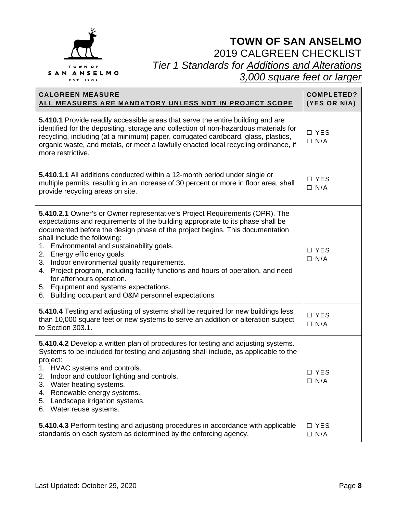

| <b>CALGREEN MEASURE</b><br>ALL MEASURES ARE MANDATORY UNLESS NOT IN PROJECT SCOPE                                                                                                                                                                                                                                                                                                                                                                                                                                                                                                                                               | <b>COMPLETED?</b><br>(YES OR N/A) |
|---------------------------------------------------------------------------------------------------------------------------------------------------------------------------------------------------------------------------------------------------------------------------------------------------------------------------------------------------------------------------------------------------------------------------------------------------------------------------------------------------------------------------------------------------------------------------------------------------------------------------------|-----------------------------------|
| 5.410.1 Provide readily accessible areas that serve the entire building and are<br>identified for the depositing, storage and collection of non-hazardous materials for<br>recycling, including (at a minimum) paper, corrugated cardboard, glass, plastics,<br>organic waste, and metals, or meet a lawfully enacted local recycling ordinance, if<br>more restrictive.                                                                                                                                                                                                                                                        | □ YES<br>$\Box$ N/A               |
| 5.410.1.1 All additions conducted within a 12-month period under single or<br>multiple permits, resulting in an increase of 30 percent or more in floor area, shall<br>provide recycling areas on site.                                                                                                                                                                                                                                                                                                                                                                                                                         | □ YES<br>$\Box$ N/A               |
| 5.410.2.1 Owner's or Owner representative's Project Requirements (OPR). The<br>expectations and requirements of the building appropriate to its phase shall be<br>documented before the design phase of the project begins. This documentation<br>shall include the following:<br>1. Environmental and sustainability goals.<br>2. Energy efficiency goals.<br>3. Indoor environmental quality requirements.<br>4. Project program, including facility functions and hours of operation, and need<br>for afterhours operation.<br>5. Equipment and systems expectations.<br>6. Building occupant and O&M personnel expectations | $\Box$ YES<br>$\Box$ N/A          |
| 5.410.4 Testing and adjusting of systems shall be required for new buildings less<br>than 10,000 square feet or new systems to serve an addition or alteration subject<br>to Section 303.1.                                                                                                                                                                                                                                                                                                                                                                                                                                     | □ YES<br>$\Box$ N/A               |
| 5.410.4.2 Develop a written plan of procedures for testing and adjusting systems.<br>Systems to be included for testing and adjusting shall include, as applicable to the<br>project:<br>1. HVAC systems and controls.<br>2. Indoor and outdoor lighting and controls.<br>3. Water heating systems.<br>4. Renewable energy systems.<br>5. Landscape irrigation systems.<br>6. Water reuse systems.                                                                                                                                                                                                                              | $\Box$ YES<br>$\Box$ N/A          |
| <b>5.410.4.3</b> Perform testing and adjusting procedures in accordance with applicable<br>standards on each system as determined by the enforcing agency.                                                                                                                                                                                                                                                                                                                                                                                                                                                                      | □ YES<br>$\Box$ N/A               |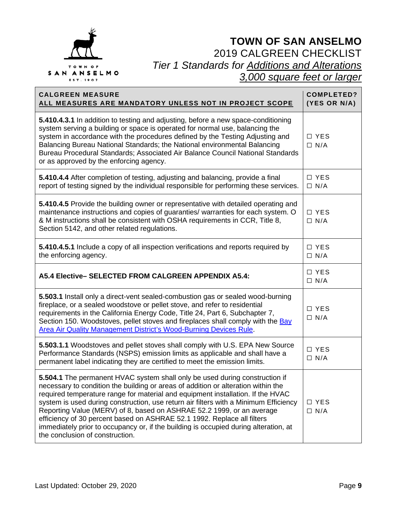

| <b>CALGREEN MEASURE</b><br>ALL MEASURES ARE MANDATORY UNLESS NOT IN PROJECT SCOPE                                                                                                                                                                                                                                                                                                                                                                                                                                                                                                                                          | <b>COMPLETED?</b><br>(YES OR N/A) |
|----------------------------------------------------------------------------------------------------------------------------------------------------------------------------------------------------------------------------------------------------------------------------------------------------------------------------------------------------------------------------------------------------------------------------------------------------------------------------------------------------------------------------------------------------------------------------------------------------------------------------|-----------------------------------|
| 5.410.4.3.1 In addition to testing and adjusting, before a new space-conditioning<br>system serving a building or space is operated for normal use, balancing the<br>system in accordance with the procedures defined by the Testing Adjusting and<br>Balancing Bureau National Standards; the National environmental Balancing<br>Bureau Procedural Standards; Associated Air Balance Council National Standards<br>or as approved by the enforcing agency.                                                                                                                                                               | □ YES<br>$\Box$ N/A               |
| 5.410.4.4 After completion of testing, adjusting and balancing, provide a final<br>report of testing signed by the individual responsible for performing these services.                                                                                                                                                                                                                                                                                                                                                                                                                                                   | □ YES<br>$\Box$ N/A               |
| 5.410.4.5 Provide the building owner or representative with detailed operating and<br>maintenance instructions and copies of guaranties/ warranties for each system. O<br>& M instructions shall be consistent with OSHA requirements in CCR, Title 8,<br>Section 5142, and other related regulations.                                                                                                                                                                                                                                                                                                                     | □ YES<br>$\Box$ N/A               |
| 5.410.4.5.1 Include a copy of all inspection verifications and reports required by<br>the enforcing agency.                                                                                                                                                                                                                                                                                                                                                                                                                                                                                                                | □ YES<br>$\Box$ N/A               |
| A5.4 Elective- SELECTED FROM CALGREEN APPENDIX A5.4:                                                                                                                                                                                                                                                                                                                                                                                                                                                                                                                                                                       | □ YES<br>$\Box$ N/A               |
| 5.503.1 Install only a direct-vent sealed-combustion gas or sealed wood-burning<br>fireplace, or a sealed woodstove or pellet stove, and refer to residential<br>requirements in the California Energy Code, Title 24, Part 6, Subchapter 7,<br>Section 150. Woodstoves, pellet stoves and fireplaces shall comply with the Bay<br>Area Air Quality Management District's Wood-Burning Devices Rule.                                                                                                                                                                                                                       | □ YES<br>$\Box$ N/A               |
| 5.503.1.1 Woodstoves and pellet stoves shall comply with U.S. EPA New Source<br>Performance Standards (NSPS) emission limits as applicable and shall have a<br>permanent label indicating they are certified to meet the emission limits.                                                                                                                                                                                                                                                                                                                                                                                  | □ YES<br>$\Box$ N/A               |
| 5.504.1 The permanent HVAC system shall only be used during construction if<br>necessary to condition the building or areas of addition or alteration within the<br>required temperature range for material and equipment installation. If the HVAC<br>system is used during construction, use return air filters with a Minimum Efficiency<br>Reporting Value (MERV) of 8, based on ASHRAE 52.2 1999, or an average<br>efficiency of 30 percent based on ASHRAE 52.1 1992. Replace all filters<br>immediately prior to occupancy or, if the building is occupied during alteration, at<br>the conclusion of construction. | □ YES<br>$\Box$ N/A               |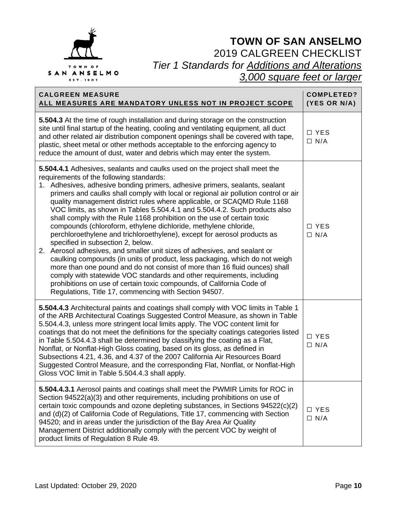

| <b>CALGREEN MEASURE</b><br>ALL MEASURES ARE MANDATORY UNLESS NOT IN PROJECT SCOPE                                                                                                                                                                                                                                                                                                                                                                                                                                                                                                                                                                                                                                                                                                                                                                                                                                                                                                                                                                                                                                                                                          | <b>COMPLETED?</b><br>(YES OR N/A) |
|----------------------------------------------------------------------------------------------------------------------------------------------------------------------------------------------------------------------------------------------------------------------------------------------------------------------------------------------------------------------------------------------------------------------------------------------------------------------------------------------------------------------------------------------------------------------------------------------------------------------------------------------------------------------------------------------------------------------------------------------------------------------------------------------------------------------------------------------------------------------------------------------------------------------------------------------------------------------------------------------------------------------------------------------------------------------------------------------------------------------------------------------------------------------------|-----------------------------------|
| 5.504.3 At the time of rough installation and during storage on the construction<br>site until final startup of the heating, cooling and ventilating equipment, all duct<br>and other related air distribution component openings shall be covered with tape,<br>plastic, sheet metal or other methods acceptable to the enforcing agency to<br>reduce the amount of dust, water and debris which may enter the system.                                                                                                                                                                                                                                                                                                                                                                                                                                                                                                                                                                                                                                                                                                                                                    | □ YES<br>$\Box$ N/A               |
| 5.504.4.1 Adhesives, sealants and caulks used on the project shall meet the<br>requirements of the following standards:<br>1. Adhesives, adhesive bonding primers, adhesive primers, sealants, sealant<br>primers and caulks shall comply with local or regional air pollution control or air<br>quality management district rules where applicable, or SCAQMD Rule 1168<br>VOC limits, as shown in Tables 5.504.4.1 and 5.504.4.2. Such products also<br>shall comply with the Rule 1168 prohibition on the use of certain toxic<br>compounds (chloroform, ethylene dichloride, methylene chloride,<br>perchloroethylene and trichloroethylene), except for aerosol products as<br>specified in subsection 2, below.<br>2. Aerosol adhesives, and smaller unit sizes of adhesives, and sealant or<br>caulking compounds (in units of product, less packaging, which do not weigh<br>more than one pound and do not consist of more than 16 fluid ounces) shall<br>comply with statewide VOC standards and other requirements, including<br>prohibitions on use of certain toxic compounds, of California Code of<br>Regulations, Title 17, commencing with Section 94507. | □ YES<br>$\Box$ N/A               |
| 5.504.4.3 Architectural paints and coatings shall comply with VOC limits in Table 1<br>of the ARB Architectural Coatings Suggested Control Measure, as shown in Table<br>5.504.4.3, unless more stringent local limits apply. The VOC content limit for<br>coatings that do not meet the definitions for the specialty coatings categories listed<br>in Table 5.504.4.3 shall be determined by classifying the coating as a Flat,<br>Nonflat, or Nonflat-High Gloss coating, based on its gloss, as defined in<br>Subsections 4.21, 4.36, and 4.37 of the 2007 California Air Resources Board<br>Suggested Control Measure, and the corresponding Flat, Nonflat, or Nonflat-High<br>Gloss VOC limit in Table 5.504.4.3 shall apply.                                                                                                                                                                                                                                                                                                                                                                                                                                        | □ YES<br>$\Box$ N/A               |
| 5.504.4.3.1 Aerosol paints and coatings shall meet the PWMIR Limits for ROC in<br>Section 94522(a)(3) and other requirements, including prohibitions on use of<br>certain toxic compounds and ozone depleting substances, in Sections 94522(c)(2)<br>and (d)(2) of California Code of Regulations, Title 17, commencing with Section<br>94520; and in areas under the jurisdiction of the Bay Area Air Quality<br>Management District additionally comply with the percent VOC by weight of<br>product limits of Regulation 8 Rule 49.                                                                                                                                                                                                                                                                                                                                                                                                                                                                                                                                                                                                                                     | □ YES<br>$\Box$ N/A               |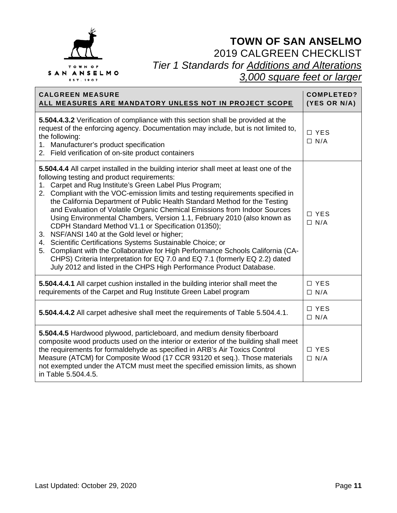

| <b>CALGREEN MEASURE</b><br>ALL MEASURES ARE MANDATORY UNLESS NOT IN PROJECT SCOPE                                                                                                                                                                                                                                                                                                                                                                                                                                                                                                                                                                                                                                                                                                                                                                                                                                                           | <b>COMPLETED?</b><br>(YES OR N/A) |
|---------------------------------------------------------------------------------------------------------------------------------------------------------------------------------------------------------------------------------------------------------------------------------------------------------------------------------------------------------------------------------------------------------------------------------------------------------------------------------------------------------------------------------------------------------------------------------------------------------------------------------------------------------------------------------------------------------------------------------------------------------------------------------------------------------------------------------------------------------------------------------------------------------------------------------------------|-----------------------------------|
| 5.504.4.3.2 Verification of compliance with this section shall be provided at the<br>request of the enforcing agency. Documentation may include, but is not limited to,<br>the following:<br>1. Manufacturer's product specification<br>2. Field verification of on-site product containers                                                                                                                                                                                                                                                                                                                                                                                                                                                                                                                                                                                                                                                 | □ YES<br>$\Box$ N/A               |
| 5.504.4.4 All carpet installed in the building interior shall meet at least one of the<br>following testing and product requirements:<br>1. Carpet and Rug Institute's Green Label Plus Program;<br>2. Compliant with the VOC-emission limits and testing requirements specified in<br>the California Department of Public Health Standard Method for the Testing<br>and Evaluation of Volatile Organic Chemical Emissions from Indoor Sources<br>Using Environmental Chambers, Version 1.1, February 2010 (also known as<br>CDPH Standard Method V1.1 or Specification 01350);<br>3. NSF/ANSI 140 at the Gold level or higher;<br>4. Scientific Certifications Systems Sustainable Choice; or<br>Compliant with the Collaborative for High Performance Schools California (CA-<br>5.<br>CHPS) Criteria Interpretation for EQ 7.0 and EQ 7.1 (formerly EQ 2.2) dated<br>July 2012 and listed in the CHPS High Performance Product Database. | $\Box$ YES<br>$\Box$ N/A          |
| 5.504.4.4.1 All carpet cushion installed in the building interior shall meet the<br>requirements of the Carpet and Rug Institute Green Label program                                                                                                                                                                                                                                                                                                                                                                                                                                                                                                                                                                                                                                                                                                                                                                                        | $\Box$ YES<br>$\Box$ N/A          |
| 5.504.4.4.2 All carpet adhesive shall meet the requirements of Table 5.504.4.1.                                                                                                                                                                                                                                                                                                                                                                                                                                                                                                                                                                                                                                                                                                                                                                                                                                                             | $\Box$ YES<br>$\Box$ N/A          |
| 5.504.4.5 Hardwood plywood, particleboard, and medium density fiberboard<br>composite wood products used on the interior or exterior of the building shall meet<br>the requirements for formaldehyde as specified in ARB's Air Toxics Control<br>Measure (ATCM) for Composite Wood (17 CCR 93120 et seq.). Those materials<br>not exempted under the ATCM must meet the specified emission limits, as shown<br>in Table 5.504.4.5.                                                                                                                                                                                                                                                                                                                                                                                                                                                                                                          | □ YES<br>$\Box$ N/A               |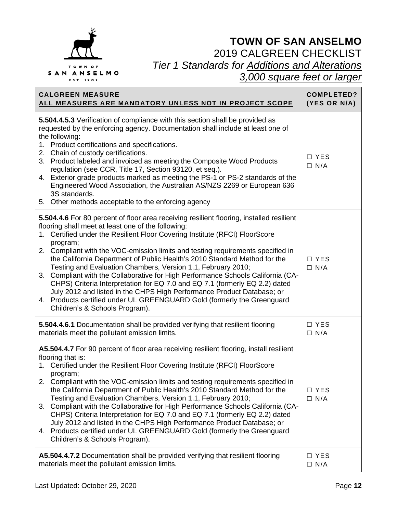

| <b>CALGREEN MEASURE</b>                                                                                                                                                                                                                                                                                                                                                                                                                                                                                                                                                                                                                                                                                                                                                                                                             | <b>COMPLETED?</b>        |
|-------------------------------------------------------------------------------------------------------------------------------------------------------------------------------------------------------------------------------------------------------------------------------------------------------------------------------------------------------------------------------------------------------------------------------------------------------------------------------------------------------------------------------------------------------------------------------------------------------------------------------------------------------------------------------------------------------------------------------------------------------------------------------------------------------------------------------------|--------------------------|
| ALL MEASURES ARE MANDATORY UNLESS NOT IN PROJECT SCOPE                                                                                                                                                                                                                                                                                                                                                                                                                                                                                                                                                                                                                                                                                                                                                                              | (YES OR N/A)             |
| 5.504.4.5.3 Verification of compliance with this section shall be provided as<br>requested by the enforcing agency. Documentation shall include at least one of<br>the following:<br>1. Product certifications and specifications.<br>2. Chain of custody certifications.<br>3. Product labeled and invoiced as meeting the Composite Wood Products<br>regulation (see CCR, Title 17, Section 93120, et seq.).<br>4. Exterior grade products marked as meeting the PS-1 or PS-2 standards of the<br>Engineered Wood Association, the Australian AS/NZS 2269 or European 636<br>3S standards.<br>5. Other methods acceptable to the enforcing agency                                                                                                                                                                                 | $\Box$ YES<br>$\Box$ N/A |
| 5.504.4.6 For 80 percent of floor area receiving resilient flooring, installed resilient<br>flooring shall meet at least one of the following:<br>1. Certified under the Resilient Floor Covering Institute (RFCI) FloorScore<br>program;<br>2. Compliant with the VOC-emission limits and testing requirements specified in<br>the California Department of Public Health's 2010 Standard Method for the<br>Testing and Evaluation Chambers, Version 1.1, February 2010;<br>3. Compliant with the Collaborative for High Performance Schools California (CA-<br>CHPS) Criteria Interpretation for EQ 7.0 and EQ 7.1 (formerly EQ 2.2) dated<br>July 2012 and listed in the CHPS High Performance Product Database; or<br>4. Products certified under UL GREENGUARD Gold (formerly the Greenguard<br>Children's & Schools Program). | $\Box$ YES<br>$\Box$ N/A |
| 5.504.4.6.1 Documentation shall be provided verifying that resilient flooring                                                                                                                                                                                                                                                                                                                                                                                                                                                                                                                                                                                                                                                                                                                                                       | □ YES                    |
| materials meet the pollutant emission limits.                                                                                                                                                                                                                                                                                                                                                                                                                                                                                                                                                                                                                                                                                                                                                                                       | $\Box$ N/A               |
| A5.504.4.7 For 90 percent of floor area receiving resilient flooring, install resilient<br>flooring that is:<br>1. Certified under the Resilient Floor Covering Institute (RFCI) FloorScore<br>program;<br>2. Compliant with the VOC-emission limits and testing requirements specified in<br>the California Department of Public Health's 2010 Standard Method for the<br>Testing and Evaluation Chambers, Version 1.1, February 2010;<br>3. Compliant with the Collaborative for High Performance Schools California (CA-<br>CHPS) Criteria Interpretation for EQ 7.0 and EQ 7.1 (formerly EQ 2.2) dated<br>July 2012 and listed in the CHPS High Performance Product Database; or<br>4. Products certified under UL GREENGUARD Gold (formerly the Greenguard<br>Children's & Schools Program).                                   | □ YES<br>$\Box$ N/A      |
| A5.504.4.7.2 Documentation shall be provided verifying that resilient flooring                                                                                                                                                                                                                                                                                                                                                                                                                                                                                                                                                                                                                                                                                                                                                      | $\Box$ YES               |
| materials meet the pollutant emission limits.                                                                                                                                                                                                                                                                                                                                                                                                                                                                                                                                                                                                                                                                                                                                                                                       | $\Box$ N/A               |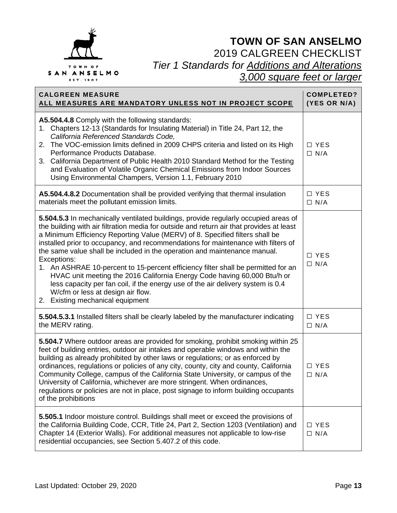

| <b>CALGREEN MEASURE</b><br>ALL MEASURES ARE MANDATORY UNLESS NOT IN PROJECT SCOPE                                                                                                                                                                                                                                                                                                                                                                                                                                                                                                                                                                                                                                                                                             | <b>COMPLETED?</b><br>(YES OR N/A) |
|-------------------------------------------------------------------------------------------------------------------------------------------------------------------------------------------------------------------------------------------------------------------------------------------------------------------------------------------------------------------------------------------------------------------------------------------------------------------------------------------------------------------------------------------------------------------------------------------------------------------------------------------------------------------------------------------------------------------------------------------------------------------------------|-----------------------------------|
| A5.504.4.8 Comply with the following standards:<br>Chapters 12-13 (Standards for Insulating Material) in Title 24, Part 12, the<br>1.<br>California Referenced Standards Code,<br>2. The VOC-emission limits defined in 2009 CHPS criteria and listed on its High<br>Performance Products Database.<br>3. California Department of Public Health 2010 Standard Method for the Testing<br>and Evaluation of Volatile Organic Chemical Emissions from Indoor Sources<br>Using Environmental Champers, Version 1.1, February 2010                                                                                                                                                                                                                                                | $\Box$ YES<br>$\Box$ N/A          |
| A5.504.4.8.2 Documentation shall be provided verifying that thermal insulation<br>materials meet the pollutant emission limits.                                                                                                                                                                                                                                                                                                                                                                                                                                                                                                                                                                                                                                               | $\Box$ YES<br>$\Box$ N/A          |
| 5.504.5.3 In mechanically ventilated buildings, provide regularly occupied areas of<br>the building with air filtration media for outside and return air that provides at least<br>a Minimum Efficiency Reporting Value (MERV) of 8. Specified filters shall be<br>installed prior to occupancy, and recommendations for maintenance with filters of<br>the same value shall be included in the operation and maintenance manual.<br>Exceptions:<br>1. An ASHRAE 10-percent to 15-percent efficiency filter shall be permitted for an<br>HVAC unit meeting the 2016 California Energy Code having 60,000 Btu/h or<br>less capacity per fan coil, if the energy use of the air delivery system is 0.4<br>W/cfm or less at design air flow.<br>2. Existing mechanical equipment | □ YES<br>$\Box$ N/A               |
| 5.504.5.3.1 Installed filters shall be clearly labeled by the manufacturer indicating<br>the MERV rating.                                                                                                                                                                                                                                                                                                                                                                                                                                                                                                                                                                                                                                                                     | □ YES<br>$\Box$ N/A               |
| 5.504.7 Where outdoor areas are provided for smoking, prohibit smoking within 25<br>feet of building entries, outdoor air intakes and operable windows and within the<br>building as already prohibited by other laws or regulations; or as enforced by<br>ordinances, regulations or policies of any city, county, city and county, California<br>Community College, campus of the California State University, or campus of the<br>University of California, whichever are more stringent. When ordinances,<br>regulations or policies are not in place, post signage to inform building occupants<br>of the prohibitions                                                                                                                                                   | $\Box$ YES<br>$\Box$ N/A          |
| 5.505.1 Indoor moisture control. Buildings shall meet or exceed the provisions of<br>the California Building Code, CCR, Title 24, Part 2, Section 1203 (Ventilation) and<br>Chapter 14 (Exterior Walls). For additional measures not applicable to low-rise<br>residential occupancies, see Section 5.407.2 of this code.                                                                                                                                                                                                                                                                                                                                                                                                                                                     | □ YES<br>$\Box$ N/A               |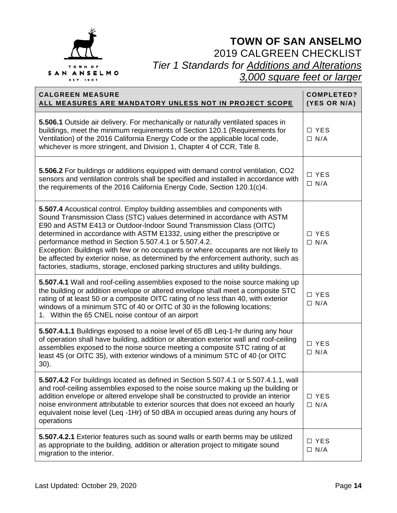

| <b>CALGREEN MEASURE</b><br>ALL MEASURES ARE MANDATORY UNLESS NOT IN PROJECT SCOPE                                                                                                                                                                                                                                                                                                                                                                                                                                                                                                                                                    | <b>COMPLETED?</b><br>(YES OR N/A) |
|--------------------------------------------------------------------------------------------------------------------------------------------------------------------------------------------------------------------------------------------------------------------------------------------------------------------------------------------------------------------------------------------------------------------------------------------------------------------------------------------------------------------------------------------------------------------------------------------------------------------------------------|-----------------------------------|
| 5.506.1 Outside air delivery. For mechanically or naturally ventilated spaces in<br>buildings, meet the minimum requirements of Section 120.1 (Requirements for<br>Ventilation) of the 2016 California Energy Code or the applicable local code,<br>whichever is more stringent, and Division 1, Chapter 4 of CCR, Title 8.                                                                                                                                                                                                                                                                                                          | □ YES<br>$\Box$ N/A               |
| 5.506.2 For buildings or additions equipped with demand control ventilation, CO2<br>sensors and ventilation controls shall be specified and installed in accordance with<br>the requirements of the 2016 California Energy Code, Section 120.1(c)4.                                                                                                                                                                                                                                                                                                                                                                                  | □ YES<br>$\Box$ N/A               |
| 5.507.4 Acoustical control. Employ building assemblies and components with<br>Sound Transmission Class (STC) values determined in accordance with ASTM<br>E90 and ASTM E413 or Outdoor-Indoor Sound Transmission Class (OITC)<br>determined in accordance with ASTM E1332, using either the prescriptive or<br>performance method in Section 5.507.4.1 or 5.507.4.2.<br>Exception: Buildings with few or no occupants or where occupants are not likely to<br>be affected by exterior noise, as determined by the enforcement authority, such as<br>factories, stadiums, storage, enclosed parking structures and utility buildings. | □ YES<br>$\Box$ N/A               |
| 5.507.4.1 Wall and roof-ceiling assemblies exposed to the noise source making up<br>the building or addition envelope or altered envelope shall meet a composite STC<br>rating of at least 50 or a composite OITC rating of no less than 40, with exterior<br>windows of a minimum STC of 40 or OITC of 30 in the following locations:<br>1. Within the 65 CNEL noise contour of an airport                                                                                                                                                                                                                                          | □ YES<br>$\Box$ N/A               |
| 5.507.4.1.1 Buildings exposed to a noise level of 65 dB Leq-1-hr during any hour<br>of operation shall have building, addition or alteration exterior wall and roof-ceiling<br>assemblies exposed to the noise source meeting a composite STC rating of at<br>least 45 (or OITC 35), with exterior windows of a minimum STC of 40 (or OITC<br>$30$ ).                                                                                                                                                                                                                                                                                | □ YES<br>$\Box$ N/A               |
| 5.507.4.2 For buildings located as defined in Section 5.507.4.1 or 5.507.4.1.1, wall<br>and roof-ceiling assemblies exposed to the noise source making up the building or<br>addition envelope or altered envelope shall be constructed to provide an interior<br>noise environment attributable to exterior sources that does not exceed an hourly<br>equivalent noise level (Leq -1Hr) of 50 dBA in occupied areas during any hours of<br>operations                                                                                                                                                                               | □ YES<br>$\Box$ N/A               |
| 5.507.4.2.1 Exterior features such as sound walls or earth berms may be utilized<br>as appropriate to the building, addition or alteration project to mitigate sound<br>migration to the interior.                                                                                                                                                                                                                                                                                                                                                                                                                                   | □ YES<br>$\Box$ N/A               |